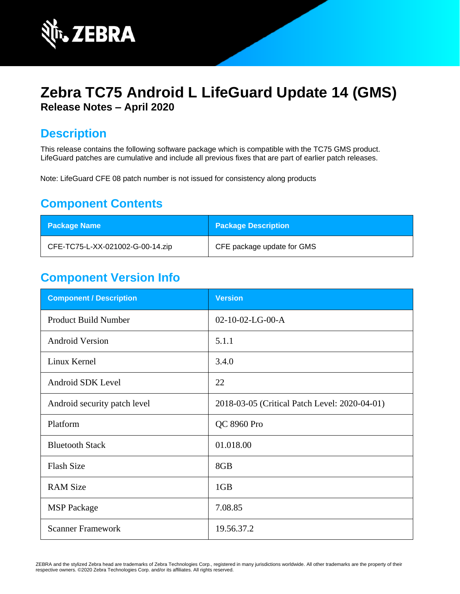

# **Zebra TC75 Android L LifeGuard Update 14 (GMS) Release Notes – April 2020**

### **Description**

This release contains the following software package which is compatible with the TC75 GMS product. LifeGuard patches are cumulative and include all previous fixes that are part of earlier patch releases.

Note: LifeGuard CFE 08 patch number is not issued for consistency along products

### **Component Contents**

| <b>Package Name</b>              | <b>Package Description</b> |
|----------------------------------|----------------------------|
| CFE-TC75-L-XX-021002-G-00-14.zip | CFE package update for GMS |

### **Component Version Info**

| <b>Component / Description</b> | <b>Version</b>                                |
|--------------------------------|-----------------------------------------------|
| <b>Product Build Number</b>    | 02-10-02-LG-00-A                              |
| <b>Android Version</b>         | 5.1.1                                         |
| Linux Kernel                   | 3.4.0                                         |
| Android SDK Level              | 22                                            |
| Android security patch level   | 2018-03-05 (Critical Patch Level: 2020-04-01) |
| Platform                       | QC 8960 Pro                                   |
| <b>Bluetooth Stack</b>         | 01.018.00                                     |
| <b>Flash Size</b>              | 8GB                                           |
| <b>RAM Size</b>                | 1GB                                           |
| <b>MSP</b> Package             | 7.08.85                                       |
| <b>Scanner Framework</b>       | 19.56.37.2                                    |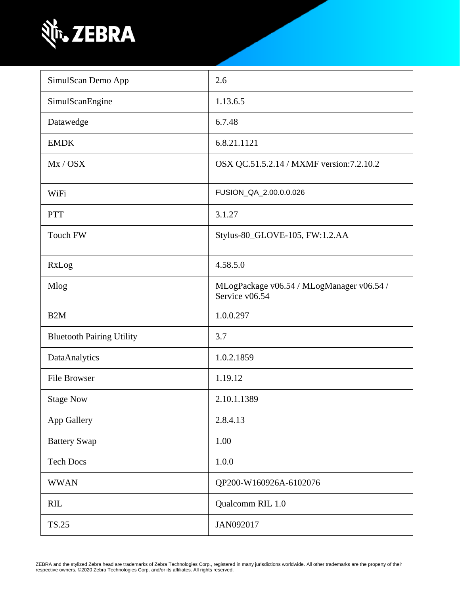

| SimulScan Demo App               | 2.6                                                         |
|----------------------------------|-------------------------------------------------------------|
| SimulScanEngine                  | 1.13.6.5                                                    |
| Datawedge                        | 6.7.48                                                      |
| <b>EMDK</b>                      | 6.8.21.1121                                                 |
| Mx / OSX                         | OSX QC.51.5.2.14 / MXMF version: 7.2.10.2                   |
| WiFi                             | FUSION_QA_2.00.0.0.026                                      |
| <b>PTT</b>                       | 3.1.27                                                      |
| <b>Touch FW</b>                  | Stylus-80_GLOVE-105, FW:1.2.AA                              |
| RxLog                            | 4.58.5.0                                                    |
| Mlog                             | MLogPackage v06.54 / MLogManager v06.54 /<br>Service v06.54 |
| B <sub>2</sub> M                 | 1.0.0.297                                                   |
| <b>Bluetooth Pairing Utility</b> | 3.7                                                         |
| DataAnalytics                    | 1.0.2.1859                                                  |
| <b>File Browser</b>              | 1.19.12                                                     |
| <b>Stage Now</b>                 | 2.10.1.1389                                                 |
| App Gallery                      | 2.8.4.13                                                    |
| <b>Battery Swap</b>              | 1.00                                                        |
| <b>Tech Docs</b>                 | 1.0.0                                                       |
| <b>WWAN</b>                      | QP200-W160926A-6102076                                      |
| <b>RIL</b>                       | Qualcomm RIL 1.0                                            |
| <b>TS.25</b>                     | JAN092017                                                   |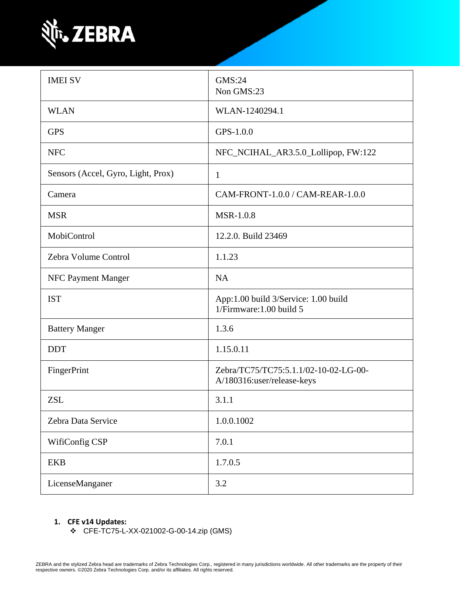

| <b>IMEI SV</b>                     | GMS:24<br>Non GMS:23                                                |
|------------------------------------|---------------------------------------------------------------------|
| <b>WLAN</b>                        | WLAN-1240294.1                                                      |
| <b>GPS</b>                         | GPS-1.0.0                                                           |
| <b>NFC</b>                         | NFC_NCIHAL_AR3.5.0_Lollipop, FW:122                                 |
| Sensors (Accel, Gyro, Light, Prox) | $\mathbf{1}$                                                        |
| Camera                             | CAM-FRONT-1.0.0 / CAM-REAR-1.0.0                                    |
| <b>MSR</b>                         | <b>MSR-1.0.8</b>                                                    |
| MobiControl                        | 12.2.0. Build 23469                                                 |
| Zebra Volume Control               | 1.1.23                                                              |
| NFC Payment Manger                 | <b>NA</b>                                                           |
| <b>IST</b>                         | App:1.00 build 3/Service: 1.00 build<br>1/Firmware: 1.00 build 5    |
| <b>Battery Manger</b>              | 1.3.6                                                               |
| <b>DDT</b>                         | 1.15.0.11                                                           |
| FingerPrint                        | Zebra/TC75/TC75:5.1.1/02-10-02-LG-00-<br>A/180316:user/release-keys |
| <b>ZSL</b>                         | 3.1.1                                                               |
| Zebra Data Service                 | 1.0.0.1002                                                          |
| WifiConfig CSP                     | 7.0.1                                                               |
| <b>EKB</b>                         | 1.7.0.5                                                             |
| LicenseManganer                    | 3.2                                                                 |

#### **1. CFE v14 Updates:**

❖ CFE-TC75-L-XX-021002-G-00-14.zip (GMS)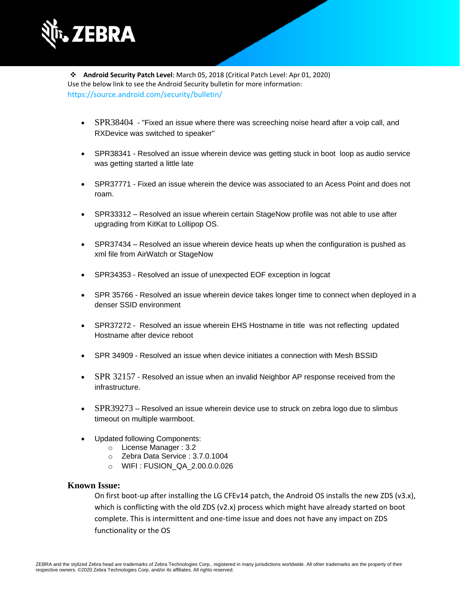

❖ **Android Security Patch Level**: March 05, 2018 (Critical Patch Level: Apr 01, 2020) Use the below link to see the Android Security bulletin for more information: <https://source.android.com/security/bulletin/>

- [SPR38404](https://jiraemv.zebra.com/browse/BSPA-131963) "Fixed an issue where there was screeching noise heard after a voip call, and RXDevice was switched to speaker"
- SPR38341 Resolved an issue wherein device was getting stuck in boot loop as audio service was getting started a little late
- SPR37771 Fixed an issue wherein the device was associated to an Acess Point and does not roam.
- SPR33312 Resolved an issue wherein certain StageNow profile was not able to use after upgrading from KitKat to Lollipop OS.
- SPR37434 Resolved an issue wherein device heats up when the configuration is pushed as xml file from AirWatch or StageNow
- SPR34353 Resolved an issue of unexpected EOF exception in logcat
- SPR 35766 Resolved an issue wherein device takes longer time to connect when deployed in a denser SSID environment
- SPR37272 Resolved an issue wherein EHS Hostname in title was not reflecting updated Hostname after device reboot
- SPR 34909 Resolved an issue when device initiates a connection with Mesh BSSID
- [SPR 32157](https://jiraemv.zebra.com/browse/BSPA-86471) Resolved an issue when an invalid Neighbor AP response received from the infrastructure.
- [SPR39273](https://jiraemv.zebra.com/browse/BSPA-142071) Resolved an issue wherein device use to struck on zebra logo due to slimbus timeout on multiple warmboot.
- Updated following Components:
	- o License Manager : 3.2
	- o Zebra Data Service : 3.7.0.1004
	- o WIFI : FUSION\_QA\_2.00.0.0.026

#### **Known Issue:**

On first boot-up after installing the LG CFEv14 patch, the Android OS installs the new ZDS (v3.x), which is conflicting with the old ZDS (v2.x) process which might have already started on boot complete. This is intermittent and one-time issue and does not have any impact on ZDS functionality or the OS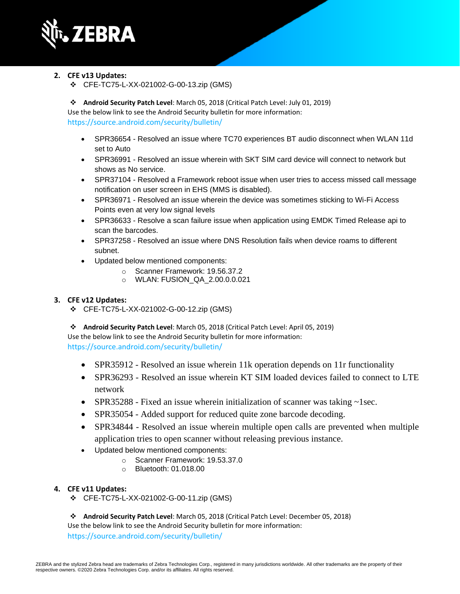

- **2. CFE v13 Updates:**
	- ❖ CFE-TC75-L-XX-021002-G-00-13.zip (GMS)

❖ **Android Security Patch Level**: March 05, 2018 (Critical Patch Level: July 01, 2019) Use the below link to see the Android Security bulletin for more information: <https://source.android.com/security/bulletin/>

- SPR36654 Resolved an issue where TC70 experiences BT audio disconnect when WLAN 11d set to Auto
- SPR36991 Resolved an issue wherein with SKT SIM card device will connect to network but shows as No service.
- SPR37104 Resolved a Framework reboot issue when user tries to access missed call message notification on user screen in EHS (MMS is disabled).
- SPR36971 Resolved an issue wherein the device was sometimes sticking to Wi-Fi Access Points even at very low signal levels
- SPR36633 Resolve a scan failure issue when application using EMDK Timed Release api to scan the barcodes.
- SPR37258 Resolved an issue where DNS Resolution fails when device roams to different subnet.
- Updated below mentioned components:
	- o Scanner Framework: 19.56.37.2
	- o WLAN: FUSION\_QA\_2.00.0.0.021

#### **3. CFE v12 Updates:**

❖ CFE-TC75-L-XX-021002-G-00-12.zip (GMS)

❖ **Android Security Patch Level**: March 05, 2018 (Critical Patch Level: April 05, 2019) Use the below link to see the Android Security bulletin for more information: <https://source.android.com/security/bulletin/>

- SPR35912 Resolved an issue wherein 11k operation depends on 11r functionality
- SPR36293 Resolved an issue wherein KT SIM loaded devices failed to connect to LTE network
- SPR35288 Fixed an issue wherein initialization of scanner was taking ~1sec.
- SPR35054 Added support for reduced quite zone barcode decoding.
- SPR34844 Resolved an issue wherein multiple open calls are prevented when multiple application tries to open scanner without releasing previous instance.
- Updated below mentioned components:
	- o Scanner Framework: 19.53.37.0
	- o Bluetooth: 01.018.00

#### **4. CFE v11 Updates:**

- ❖ CFE-TC75-L-XX-021002-G-00-11.zip (GMS)
- ❖ **Android Security Patch Level**: March 05, 2018 (Critical Patch Level: December 05, 2018)

Use the below link to see the Android Security bulletin for more information: <https://source.android.com/security/bulletin/>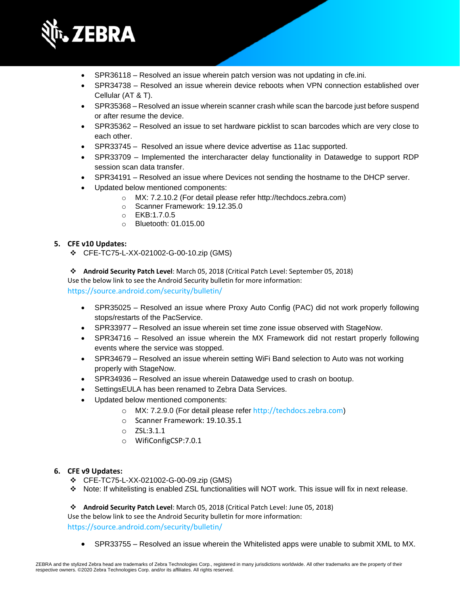

- SPR36118 Resolved an issue wherein patch version was not updating in cfe.ini.
- SPR34738 Resolved an issue wherein device reboots when VPN connection established over Cellular (AT & T).
- SPR35368 Resolved an issue wherein scanner crash while scan the barcode just before suspend or after resume the device.
- SPR35362 Resolved an issue to set hardware picklist to scan barcodes which are very close to each other.
- SPR33745 Resolved an issue where device advertise as 11ac supported.
- SPR33709 Implemented the intercharacter delay functionality in Datawedge to support RDP session scan data transfer.
- SPR34191 Resolved an issue where Devices not sending the hostname to the DHCP server.
- Updated below mentioned components:
	- o MX: 7.2.10.2 (For detail please refer [http://techdocs.zebra.com\)](http://techdocs.zebra.com/)
	- o Scanner Framework: 19.12.35.0
	- o EKB:1.7.0.5
	- o Bluetooth: 01.015.00

#### **5. CFE v10 Updates:**

- ❖ CFE-TC75-L-XX-021002-G-00-10.zip (GMS)
- ❖ **Android Security Patch Level**: March 05, 2018 (Critical Patch Level: September 05, 2018)

Use the below link to see the Android Security bulletin for more information:

<https://source.android.com/security/bulletin/>

- SPR35025 Resolved an issue where Proxy Auto Config (PAC) did not work properly following stops/restarts of the PacService.
- SPR33977 Resolved an issue wherein set time zone issue observed with StageNow.
- SPR34716 Resolved an issue wherein the MX Framework did not restart properly following events where the service was stopped.
- SPR34679 Resolved an issue wherein setting WiFi Band selection to Auto was not working properly with StageNow.
- SPR34936 Resolved an issue wherein Datawedge used to crash on bootup.
- SettingsEULA has been renamed to Zebra Data Services.
- Updated below mentioned components:
	- o MX: 7.2.9.0 (For detail please refer [http://techdocs.zebra.com](http://techdocs.zebra.com/))
	- o Scanner Framework: 19.10.35.1
	- o ZSL:3.1.1
	- o WifiConfigCSP:7.0.1

#### **6. CFE v9 Updates:**

- ❖ CFE-TC75-L-XX-021002-G-00-09.zip (GMS)
- ❖ Note: If whitelisting is enabled ZSL functionalities will NOT work. This issue will fix in next release.

❖ **Android Security Patch Level**: March 05, 2018 (Critical Patch Level: June 05, 2018)

Use the below link to see the Android Security bulletin for more information:

<https://source.android.com/security/bulletin/>

• SPR33755 – Resolved an issue wherein the Whitelisted apps were unable to submit XML to MX.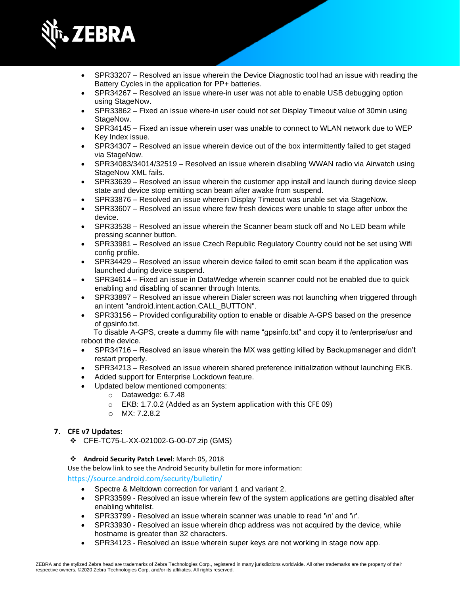

- SPR33207 Resolved an issue wherein the Device Diagnostic tool had an issue with reading the Battery Cycles in the application for PP+ batteries.
- SPR34267 Resolved an issue where-in user was not able to enable USB debugging option using StageNow.
- SPR33862 Fixed an issue where-in user could not set Display Timeout value of 30min using StageNow.
- SPR34145 Fixed an issue wherein user was unable to connect to WLAN network due to WEP Key Index issue.
- SPR34307 Resolved an issue wherein device out of the box intermittently failed to get staged via StageNow.
- SPR34083/34014/32519 Resolved an issue wherein disabling WWAN radio via Airwatch using StageNow XML fails.
- SPR33639 Resolved an issue wherein the customer app install and launch during device sleep state and device stop emitting scan beam after awake from suspend.
- SPR33876 Resolved an issue wherein Display Timeout was unable set via StageNow.
- SPR33607 Resolved an issue where few fresh devices were unable to stage after unbox the device.
- SPR33538 Resolved an issue wherein the Scanner beam stuck off and No LED beam while pressing scanner button.
- SPR33981 Resolved an issue Czech Republic Regulatory Country could not be set using Wifi config profile.
- SPR34429 Resolved an issue wherein device failed to emit scan beam if the application was launched during device suspend.
- SPR34614 Fixed an issue in DataWedge wherein scanner could not be enabled due to quick enabling and disabling of scanner through Intents.
- SPR33897 Resolved an issue wherein Dialer screen was not launching when triggered through an intent "android.intent.action.CALL\_BUTTON".
- SPR33156 Provided configurability option to enable or disable A-GPS based on the presence of gpsinfo.txt.

 To disable A-GPS, create a dummy file with name "gpsinfo.txt" and copy it to /enterprise/usr and reboot the device.

- SPR34716 Resolved an issue wherein the MX was getting killed by Backupmanager and didn't restart properly.
- SPR34213 Resolved an issue wherein shared preference initialization without launching EKB.
- Added support for Enterprise Lockdown feature.
- Updated below mentioned components:
	- o Datawedge: 6.7.48
	- o EKB: 1.7.0.2 (Added as an System application with this CFE 09)
	- o MX: 7.2.8.2

#### **7. CFE v7 Updates:**

- ❖ CFE-TC75-L-XX-021002-G-00-07.zip (GMS)
- ❖ **Android Security Patch Level**: March 05, 2018

Use the below link to see the Android Security bulletin for more information:

<https://source.android.com/security/bulletin/>

- Spectre & Meltdown correction for variant 1 and variant 2.
- SPR33599 Resolved an issue wherein few of the system applications are getting disabled after enabling whitelist.
- SPR33799 Resolved an issue wherein scanner was unable to read '\n' and '\r'.
- SPR33930 Resolved an issue wherein dhcp address was not acquired by the device, while hostname is greater than 32 characters.
- SPR34123 Resolved an issue wherein super keys are not working in stage now app.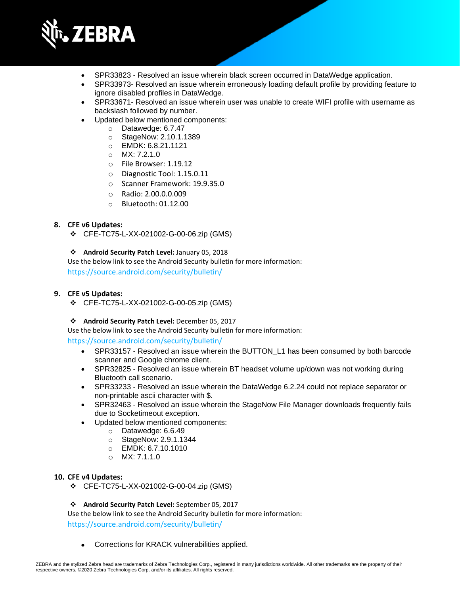

- SPR33823 Resolved an issue wherein black screen occurred in DataWedge application.
- SPR33973- Resolved an issue wherein erroneously loading default profile by providing feature to ignore disabled profiles in DataWedge.
- SPR33671- Resolved an issue wherein user was unable to create WIFI profile with username as backslash followed by number.
- Updated below mentioned components:
	- o Datawedge: 6.7.47
	- o StageNow: 2.10.1.1389
	- o EMDK: 6.8.21.1121
	- $O$  MX: 7.2.1.0
	- o File Browser: 1.19.12
	- o Diagnostic Tool: 1.15.0.11
	- o Scanner Framework: 19.9.35.0
	- o Radio: 2.00.0.0.009
	- o Bluetooth: 01.12.00

#### **8. CFE v6 Updates:**

❖ CFE-TC75-L-XX-021002-G-00-06.zip (GMS)

#### ❖ **Android Security Patch Level:** January 05, 2018

Use the below link to see the Android Security bulletin for more information: <https://source.android.com/security/bulletin/>

#### **9. CFE v5 Updates:**

❖ CFE-TC75-L-XX-021002-G-00-05.zip (GMS)

#### ❖ **Android Security Patch Level:** December 05, 2017

Use the below link to see the Android Security bulletin for more information: <https://source.android.com/security/bulletin/>

- SPR33157 Resolved an issue wherein the BUTTON L1 has been consumed by both barcode scanner and Google chrome client.
- SPR32825 Resolved an issue wherein BT headset volume up/down was not working during Bluetooth call scenario.
- SPR33233 Resolved an issue wherein the DataWedge 6.2.24 could not replace separator or non-printable ascii character with \$.
- SPR32463 Resolved an issue wherein the StageNow File Manager downloads frequently fails due to Socketimeout exception.
- Updated below mentioned components:
	- o Datawedge: 6.6.49
	- o StageNow: 2.9.1.1344
	- o EMDK: 6.7.10.1010
	- o MX: 7.1.1.0

#### **10. CFE v4 Updates:**

❖ CFE-TC75-L-XX-021002-G-00-04.zip (GMS)

#### ❖ **Android Security Patch Level:** September 05, 2017

Use the below link to see the Android Security bulletin for more information: <https://source.android.com/security/bulletin/>

• Corrections for KRACK vulnerabilities applied.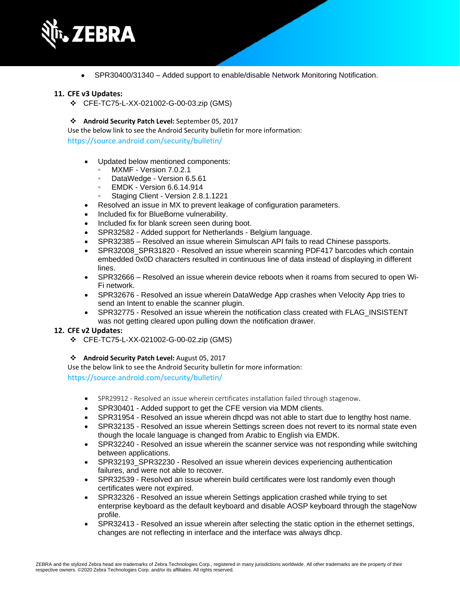

• SPR30400/31340 – Added support to enable/disable Network Monitoring Notification.

#### **11. CFE v3 Updates:**

❖ CFE-TC75-L-XX-021002-G-00-03.zip (GMS)

#### ❖ **Android Security Patch Level:** September 05, 2017

Use the below link to see the Android Security bulletin for more information: <https://source.android.com/security/bulletin/>

- Updated below mentioned components:
	- MXMF Version 7.0.2.1
	- DataWedge Version 6.5.61
	- EMDK Version 6.6.14.914
	- Staging Client Version 2.8.1.1221
- Resolved an issue in MX to prevent leakage of configuration parameters.
- Included fix for BlueBorne vulnerability.
- Included fix for blank screen seen during boot.
- SPR32582 Added support for Netherlands Belgium language.
- SPR32385 Resolved an issue wherein Simulscan API fails to read Chinese passports.
- SPR32008 SPR31820 Resolved an issue wherein scanning PDF417 barcodes which contain embedded 0x0D characters resulted in continuous line of data instead of displaying in different lines.
- SPR32666 Resolved an issue wherein device reboots when it roams from secured to open Wi-Fi network.
- SPR32676 Resolved an issue wherein DataWedge App crashes when Velocity App tries to send an Intent to enable the scanner plugin.
- SPR32775 Resolved an issue wherein the notification class created with FLAG\_INSISTENT was not getting cleared upon pulling down the notification drawer.

#### **12. CFE v2 Updates:**

❖ CFE-TC75-L-XX-021002-G-00-02.zip (GMS)

#### ❖ **Android Security Patch Level:** August 05, 2017

Use the below link to see the Android Security bulletin for more information:

<https://source.android.com/security/bulletin/>

- SPR29912 Resolved an issue wherein certificates installation failed through stagenow.
- SPR30401 Added support to get the CFE version via MDM clients.
- SPR31954 Resolved an issue wherein dhcpd was not able to start due to lengthy host name.
- SPR32135 Resolved an issue wherein Settings screen does not revert to its normal state even though the locale language is changed from Arabic to English via EMDK.
- SPR32240 Resolved an issue wherein the scanner service was not responding while switching between applications.
- SPR32193\_SPR32230 Resolved an issue wherein devices experiencing authentication failures, and were not able to recover.
- SPR32539 Resolved an issue wherein build certificates were lost randomly even though certificates were not expired.
- SPR32326 Resolved an issue wherein Settings application crashed while trying to set enterprise keyboard as the default keyboard and disable AOSP keyboard through the stageNow profile.
- SPR32413 Resolved an issue wherein after selecting the static option in the ethernet settings, changes are not reflecting in interface and the interface was always dhcp.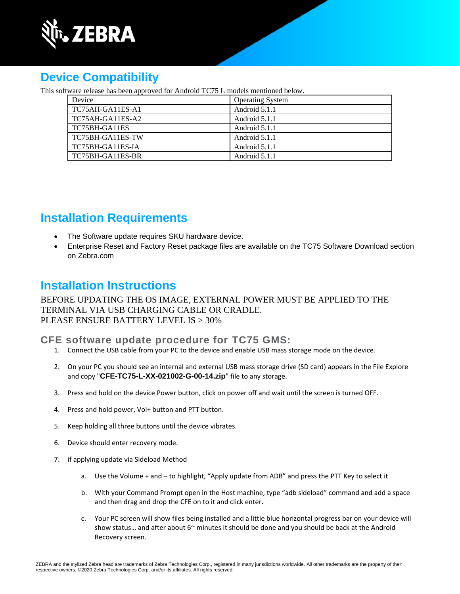

# **Device Compatibility**

This software release has been approved for Android TC75 L models mentioned below.

| Device           | <b>Operating System</b> |
|------------------|-------------------------|
| TC75AH-GA11ES-A1 | Android 5.1.1           |
| TC75AH-GA11ES-A2 | Android 5.1.1           |
| TC75BH-GA11ES    | Android 5.1.1           |
| TC75BH-GA11ES-TW | Android 5.1.1           |
| TC75BH-GA11ES-IA | Android 5.1.1           |
| TC75BH-GA11ES-BR | Android 5.1.1           |

## **Installation Requirements**

- The Software update requires SKU hardware device.
- Enterprise Reset and Factory Reset package files are available on the TC75 Software Download section on Zebra.com

### **Installation Instructions**

BEFORE UPDATING THE OS IMAGE, EXTERNAL POWER MUST BE APPLIED TO THE TERMINAL VIA USB CHARGING CABLE OR CRADLE. PLEASE ENSURE BATTERY LEVEL IS > 30%

### **CFE software update procedure for TC75 GMS:**

- 1. Connect the USB cable from your PC to the device and enable USB mass storage mode on the device.
- 2. On your PC you should see an internal and external USB mass storage drive (SD card) appears in the File Explore and copy "**CFE-TC75-L-XX-021002-G-00-14.zip**" file to any storage.
- 3. Press and hold on the device Power button, click on power off and wait until the screen is turned OFF.
- 4. Press and hold power, Vol+ button and PTT button.
- 5. Keep holding all three buttons until the device vibrates.
- 6. Device should enter recovery mode.
- 7. if applying update via Sideload Method
	- a. Use the Volume + and to highlight, "Apply update from ADB" and press the PTT Key to select it
	- b. With your Command Prompt open in the Host machine, type "adb sideload" command and add a space and then drag and drop the CFE on to it and click enter.
	- c. Your PC screen will show files being installed and a little blue horizontal progress bar on your device will show status... and after about  $6^{\sim}$  minutes it should be done and you should be back at the Android Recovery screen.